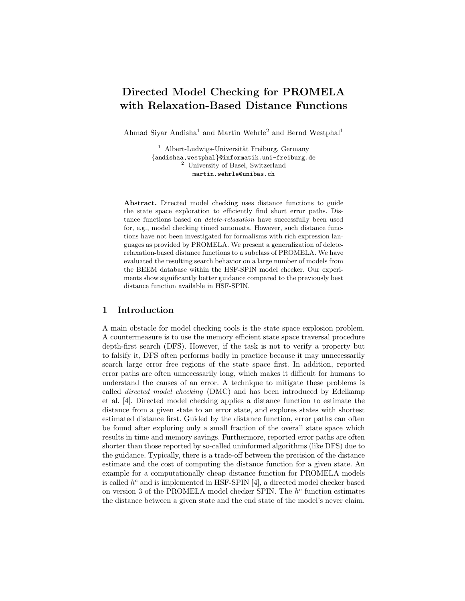# Directed Model Checking for PROMELA with Relaxation-Based Distance Functions

Ahmad Siyar Andisha<sup>1</sup> and Martin Wehrle<sup>2</sup> and Bernd Westphal<sup>1</sup>

 $1$  Albert-Ludwigs-Universität Freiburg, Germany {andishaa,westphal}@informatik.uni-freiburg.de <sup>2</sup> University of Basel, Switzerland martin.wehrle@unibas.ch

Abstract. Directed model checking uses distance functions to guide the state space exploration to efficiently find short error paths. Distance functions based on *delete-relaxation* have successfully been used for, e.g., model checking timed automata. However, such distance functions have not been investigated for formalisms with rich expression languages as provided by PROMELA. We present a generalization of deleterelaxation-based distance functions to a subclass of PROMELA. We have evaluated the resulting search behavior on a large number of models from the BEEM database within the HSF-SPIN model checker. Our experiments show significantly better guidance compared to the previously best distance function available in HSF-SPIN.

### 1 Introduction

A main obstacle for model checking tools is the state space explosion problem. A countermeasure is to use the memory efficient state space traversal procedure depth-first search (DFS). However, if the task is not to verify a property but to falsify it, DFS often performs badly in practice because it may unnecessarily search large error free regions of the state space first. In addition, reported error paths are often unnecessarily long, which makes it difficult for humans to understand the causes of an error. A technique to mitigate these problems is called directed model checking (DMC) and has been introduced by Edelkamp et al. [4]. Directed model checking applies a distance function to estimate the distance from a given state to an error state, and explores states with shortest estimated distance first. Guided by the distance function, error paths can often be found after exploring only a small fraction of the overall state space which results in time and memory savings. Furthermore, reported error paths are often shorter than those reported by so-called uninformed algorithms (like DFS) due to the guidance. Typically, there is a trade-off between the precision of the distance estimate and the cost of computing the distance function for a given state. An example for a computationally cheap distance function for PROMELA models is called  $h^c$  and is implemented in HSF-SPIN [4], a directed model checker based on version 3 of the PROMELA model checker SPIN. The  $h^c$  function estimates the distance between a given state and the end state of the model's never claim.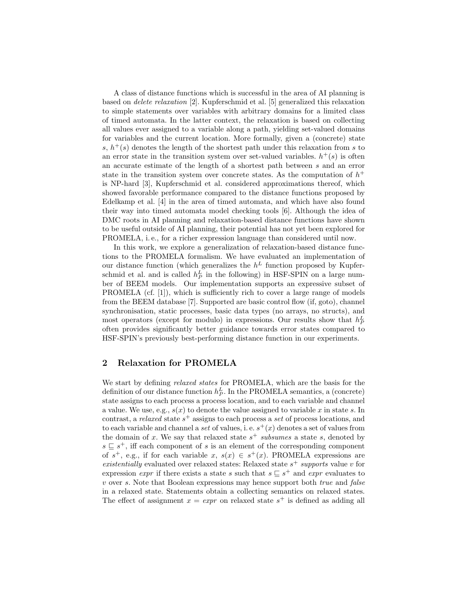A class of distance functions which is successful in the area of AI planning is based on delete relaxation [2]. Kupferschmid et al. [5] generalized this relaxation to simple statements over variables with arbitrary domains for a limited class of timed automata. In the latter context, the relaxation is based on collecting all values ever assigned to a variable along a path, yielding set-valued domains for variables and the current location. More formally, given a (concrete) state  $s, h^+(s)$  denotes the length of the shortest path under this relaxation from s to an error state in the transition system over set-valued variables.  $h^+(s)$  is often an accurate estimate of the length of a shortest path between s and an error state in the transition system over concrete states. As the computation of  $h^+$ is NP-hard [3], Kupferschmid et al. considered approximations thereof, which showed favorable performance compared to the distance functions proposed by Edelkamp et al. [4] in the area of timed automata, and which have also found their way into timed automata model checking tools [6]. Although the idea of DMC roots in AI planning and relaxation-based distance functions have shown to be useful outside of AI planning, their potential has not yet been explored for PROMELA, i. e., for a richer expression language than considered until now.

In this work, we explore a generalization of relaxation-based distance functions to the PROMELA formalism. We have evaluated an implementation of our distance function (which generalizes the  $h<sup>L</sup>$  function proposed by Kupferschmid et al. and is called  $h_P^L$  in the following) in HSF-SPIN on a large number of BEEM models. Our implementation supports an expressive subset of PROMELA (cf. [1]), which is sufficiently rich to cover a large range of models from the BEEM database [7]. Supported are basic control flow (if, goto), channel synchronisation, static processes, basic data types (no arrays, no structs), and most operators (except for modulo) in expressions. Our results show that  $h_P^L$ often provides significantly better guidance towards error states compared to HSF-SPIN's previously best-performing distance function in our experiments.

### 2 Relaxation for PROMELA

We start by defining relaxed states for PROMELA, which are the basis for the definition of our distance function  $h_P^L$ . In the PROMELA semantics, a (concrete) state assigns to each process a process location, and to each variable and channel a value. We use, e.g.,  $s(x)$  to denote the value assigned to variable x in state s. In contrast, a *relaxed* state  $s^+$  assigns to each process a set of process locations, and to each variable and channel a set of values, i. e.  $s^+(x)$  denotes a set of values from the domain of x. We say that relaxed state  $s^+$  subsumes a state s, denoted by  $s \subseteq s^+$ , iff each component of s is an element of the corresponding component of  $s^+$ , e.g., if for each variable  $x, s(x) \in s^+(x)$ . PROMELA expressions are existentially evaluated over relaxed states: Relaxed state  $s^+$  supports value v for expression *expr* if there exists a state s such that  $s \subseteq s^+$  and *expr* evaluates to  $v$  over s. Note that Boolean expressions may hence support both *true* and *false* in a relaxed state. Statements obtain a collecting semantics on relaxed states. The effect of assignment  $x = expr$  on relaxed state  $s^+$  is defined as adding all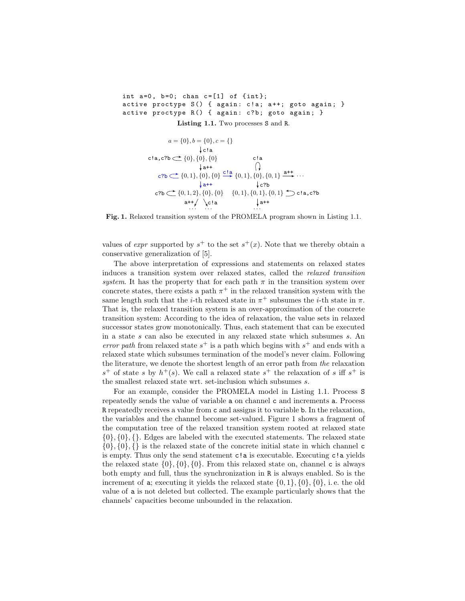```
int a=0, b=0; chan c=[1] of \{int\};
active proctype S() { again: c!a; a++; goto again; }
active proctype R() { again: c?b; goto again; }
             Listing 1.1. Two processes S and R.
```

$$
a = \{0\}, b = \{0\}, c = \{\}
$$
\n
$$
\downarrow c!a
$$
\nc!a, c?b  $\subset$  {0}, {0}, {0}\nc!a  
\nc?b  $\subset$  {0,1}, {0}, {0}  $\stackrel{c!a}{\longrightarrow}$  {0,1}, {0}, {0,1}  $\stackrel{a++}{\longrightarrow}$  ...  
\n
$$
\downarrow a++ \qquad \qquad \downarrow c?b
$$
\nc?b  $\subset$  {0,1,2}, {0}, {0}  $\{0,1\}, {0,1}, {0,1} \supset c!a, c?b$   
\n
$$
\downarrow c+ \qquad \qquad \downarrow c+ \qquad \qquad \downarrow c+ \qquad \qquad \downarrow d++
$$
\n...

Fig. 1. Relaxed transition system of the PROMELA program shown in Listing 1.1.

values of *expr* supported by  $s^+$  to the set  $s^+(x)$ . Note that we thereby obtain a conservative generalization of [5].

The above interpretation of expressions and statements on relaxed states induces a transition system over relaxed states, called the relaxed transition system. It has the property that for each path  $\pi$  in the transition system over concrete states, there exists a path  $\pi^+$  in the relaxed transition system with the same length such that the *i*-th relaxed state in  $\pi^+$  subsumes the *i*-th state in  $\pi$ . That is, the relaxed transition system is an over-approximation of the concrete transition system: According to the idea of relaxation, the value sets in relaxed successor states grow monotonically. Thus, each statement that can be executed in a state s can also be executed in any relaxed state which subsumes s. An error path from relaxed state  $s^+$  is a path which begins with  $s^+$  and ends with a relaxed state which subsumes termination of the model's never claim. Following the literature, we denote the shortest length of an error path from the relaxation  $s^+$  of state s by  $h^+(s)$ . We call a relaxed state  $s^+$  the relaxation of s iff  $s^+$  is the smallest relaxed state wrt. set-inclusion which subsumes s.

For an example, consider the PROMELA model in Listing 1.1. Process S repeatedly sends the value of variable a on channel c and increments a. Process R repeatedly receives a value from c and assigns it to variable b. In the relaxation, the variables and the channel become set-valued. Figure 1 shows a fragment of the computation tree of the relaxed transition system rooted at relaxed state  $\{0\}, \{0\}, \{\}.$  Edges are labeled with the executed statements. The relaxed state  $\{0\}, \{0\}, \{\}\$ is the relaxed state of the concrete initial state in which channel c is empty. Thus only the send statement c!a is executable. Executing c!a yields the relaxed state  $\{0\}, \{0\}, \{0\}$ . From this relaxed state on, channel c is always both empty and full, thus the synchronization in R is always enabled. So is the increment of **a**; executing it yields the relaxed state  $\{0,1\}$ ,  $\{0\}$ ,  $\{0\}$ , i.e. the old value of a is not deleted but collected. The example particularly shows that the channels' capacities become unbounded in the relaxation.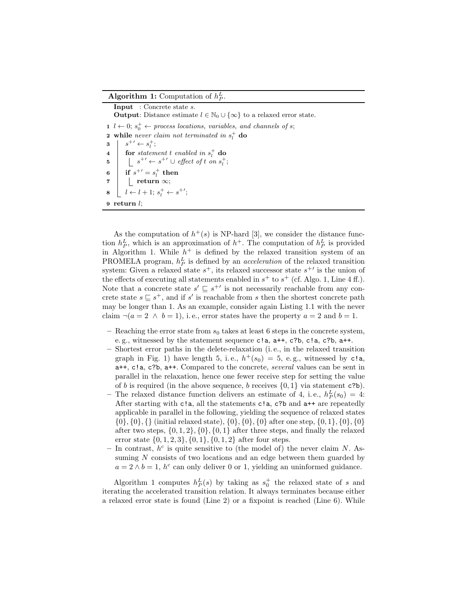## Algorithm 1: Computation of  $h_P^L$ .

Input : Concrete state s. **Output:** Distance estimate  $l \in \mathbb{N}_0 \cup \{\infty\}$  to a relaxed error state. 1  $l \leftarrow 0; s_0^+ \leftarrow process locations, variables, and channels of s;$ **2** while never claim not terminated in  $s_i^+$  do  $3 \mid s^{+\prime} \leftarrow s_l^{+}$ ; 4 **for** statement t enabled in  $s_l^+$  do 5  $\Big| \Big| s^{+\prime} \leftarrow s^{+\prime} \cup \text{effect of } t \text{ on } s_t^+;$ 6 if  $s^{+'}=s^+_l$  then  $7$  | return  $\infty;$  $8 \mid l \leftarrow l + 1; s_l^+ \leftarrow s^{+\prime};$ 9 return l;

As the computation of  $h^+(s)$  is NP-hard [3], we consider the distance function  $h_P^L$ , which is an approximation of  $h^+$ . The computation of  $h_P^L$  is provided in Algorithm 1. While  $h^+$  is defined by the relaxed transition system of an PROMELA program,  $h_P^L$  is defined by an *acceleration* of the relaxed transition system: Given a relaxed state  $s^+$ , its relaxed successor state  $s^{+'}$  is the union of the effects of executing all statements enabled in  $s^+$  to  $s^+$  (cf. Algo. 1, Line 4 ff.). Note that a concrete state  $s' \subseteq s^{+'}$  is not necessarily reachable from any concrete state  $s \subseteq s^+$ , and if s' is reachable from s then the shortest concrete path may be longer than 1. As an example, consider again Listing 1.1 with the never claim  $\neg(a = 2 \land b = 1)$ , i.e., error states have the property  $a = 2$  and  $b = 1$ .

- Reaching the error state from  $s_0$  takes at least 6 steps in the concrete system, e. g., witnessed by the statement sequence c!a, a++, c?b, c!a, c?b, a++.
- Shortest error paths in the delete-relaxation (i. e., in the relaxed transition graph in Fig. 1) have length 5, i.e.,  $h^+(s_0) = 5$ , e.g., witnessed by c!a, a++, c!a, c?b, a++. Compared to the concrete, several values can be sent in parallel in the relaxation, hence one fewer receive step for setting the value of b is required (in the above sequence, b receives  $\{0,1\}$  via statement c?b).
- The relaxed distance function delivers an estimate of 4, i.e.,  $h_P^L(s_0) = 4$ : After starting with c!a, all the statements c!a, c?b and a++ are repeatedly applicable in parallel in the following, yielding the sequence of relaxed states  $\{0\}, \{0\}, \{0\}, \{0\}, \{0\}, \{0\}$  after one step,  $\{0, 1\}, \{0\}, \{0\}$ after two steps,  $\{0, 1, 2\}, \{0\}, \{0, 1\}$  after three steps, and finally the relaxed error state  $\{0, 1, 2, 3\}, \{0, 1\}, \{0, 1, 2\}$  after four steps.
- In contrast,  $h^c$  is quite sensitive to (the model of) the never claim N. Assuming  $N$  consists of two locations and an edge between them guarded by  $a = 2 \wedge b = 1$ ,  $h^c$  can only deliver 0 or 1, yielding an uninformed guidance.

Algorithm 1 computes  $h_P^L(s)$  by taking as  $s_0^+$  the relaxed state of s and iterating the accelerated transition relation. It always terminates because either a relaxed error state is found (Line 2) or a fixpoint is reached (Line 6). While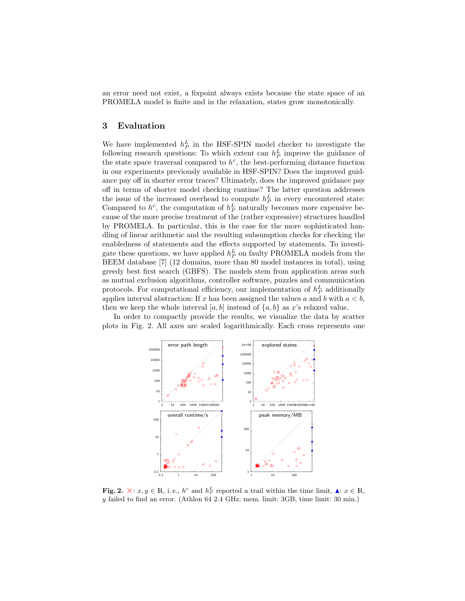an error need not exist, a fixpoint always exists because the state space of an PROMELA model is finite and in the relaxation, states grow monotonically.

### 3 Evaluation

We have implemented  $h_P^L$  in the HSF-SPIN model checker to investigate the following research questions: To which extent can  $h_P^L$  improve the guidance of the state space traversal compared to  $h^c$ , the best-performing distance function in our experiments previously available in HSF-SPIN? Does the improved guidance pay off in shorter error traces? Ultimately, does the improved guidance pay off in terms of shorter model checking runtime? The latter question addresses the issue of the increased overhead to compute  $h_P^L$  in every encountered state: Compared to  $h^c$ , the computation of  $h^L$  naturally becomes more expensive because of the more precise treatment of the (rather expressive) structures handled by PROMELA. In particular, this is the case for the more sophisticated handling of linear arithmetic and the resulting subsumption checks for checking the enabledness of statements and the effects supported by statements. To investigate these questions, we have applied  $h_P^L$  on faulty PROMELA models from the BEEM database [7] (12 domains, more than 80 model instances in total), using greedy best first search (GBFS). The models stem from application areas such as mutual exclusion algorithms, controller software, puzzles and communication protocols. For computational efficiency, our implementation of  $h_P^L$  additionally applies interval abstraction: If x has been assigned the values a and b with  $a < b$ , then we keep the whole interval  $[a, b]$  instead of  $\{a, b\}$  as x's relaxed value.

In order to compactly provide the results, we visualize the data by scatter plots in Fig. 2. All axes are scaled logarithmically. Each cross represents one



**Fig. 2.**  $\times: x, y \in \mathbb{R}$ , i.e.,  $h^c$  and  $h^L$  reported a trail within the time limit,  $\blacktriangle: x \in \mathbb{R}$ , y failed to find an error. (Athlon 64 2.4 GHz; mem. limit: 3GB, time limit: 30 min.)